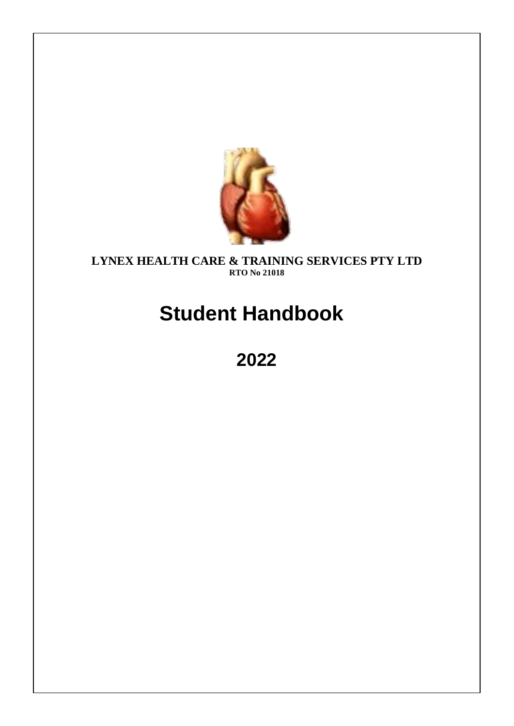

## **LYNEX HEALTH CARE & TRAINING SERVICES PTY LTD RTO No 21018**

# **Student Handbook**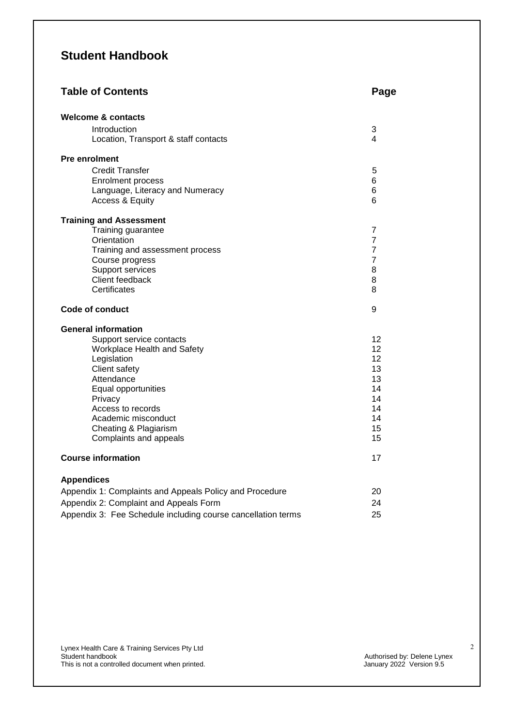## **Student Handbook**

| <b>Table of Contents</b>                                     | Page                |  |
|--------------------------------------------------------------|---------------------|--|
| <b>Welcome &amp; contacts</b>                                |                     |  |
| Introduction<br>Location, Transport & staff contacts         | 3<br>4              |  |
| <b>Pre enrolment</b>                                         |                     |  |
| <b>Credit Transfer</b>                                       | 5                   |  |
| <b>Enrolment process</b>                                     | 6                   |  |
| Language, Literacy and Numeracy                              | 6                   |  |
| <b>Access &amp; Equity</b>                                   | 6                   |  |
| <b>Training and Assessment</b>                               |                     |  |
| Training guarantee                                           | 7                   |  |
| Orientation                                                  | $\overline{7}$      |  |
| Training and assessment process                              | $\overline{7}$      |  |
| Course progress<br>Support services                          | $\overline{7}$<br>8 |  |
| Client feedback                                              | 8                   |  |
| Certificates                                                 | 8                   |  |
| <b>Code of conduct</b>                                       | 9                   |  |
| <b>General information</b>                                   |                     |  |
| Support service contacts                                     | $12 \overline{ }$   |  |
| Workplace Health and Safety                                  | 12                  |  |
| Legislation                                                  | 12                  |  |
| Client safety                                                | 13                  |  |
| Attendance<br>Equal opportunities                            | 13<br>14            |  |
| Privacy                                                      | 14                  |  |
| Access to records                                            | 14                  |  |
| Academic misconduct                                          | 14                  |  |
| Cheating & Plagiarism                                        | 15                  |  |
| Complaints and appeals                                       | 15                  |  |
| <b>Course information</b>                                    | 17                  |  |
| <b>Appendices</b>                                            |                     |  |
| Appendix 1: Complaints and Appeals Policy and Procedure      | 20                  |  |
| Appendix 2: Complaint and Appeals Form                       | 24                  |  |
| Appendix 3: Fee Schedule including course cancellation terms | 25                  |  |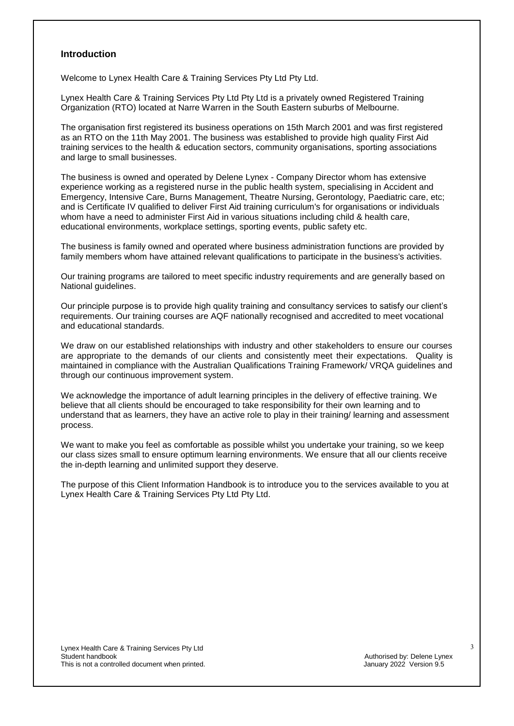#### **Introduction**

Welcome to Lynex Health Care & Training Services Pty Ltd Pty Ltd.

Lynex Health Care & Training Services Pty Ltd Pty Ltd is a privately owned Registered Training Organization (RTO) located at Narre Warren in the South Eastern suburbs of Melbourne.

The organisation first registered its business operations on 15th March 2001 and was first registered as an RTO on the 11th May 2001. The business was established to provide high quality First Aid training services to the health & education sectors, community organisations, sporting associations and large to small businesses.

The business is owned and operated by Delene Lynex - Company Director whom has extensive experience working as a registered nurse in the public health system, specialising in Accident and Emergency, Intensive Care, Burns Management, Theatre Nursing, Gerontology, Paediatric care, etc; and is Certificate IV qualified to deliver First Aid training curriculum's for organisations or individuals whom have a need to administer First Aid in various situations including child & health care, educational environments, workplace settings, sporting events, public safety etc.

The business is family owned and operated where business administration functions are provided by family members whom have attained relevant qualifications to participate in the business's activities.

Our training programs are tailored to meet specific industry requirements and are generally based on National guidelines.

Our principle purpose is to provide high quality training and consultancy services to satisfy our client's requirements. Our training courses are AQF nationally recognised and accredited to meet vocational and educational standards.

We draw on our established relationships with industry and other stakeholders to ensure our courses are appropriate to the demands of our clients and consistently meet their expectations.Quality is maintained in compliance with the Australian Qualifications Training Framework/ VRQA guidelines and through our continuous improvement system.

We acknowledge the importance of adult learning principles in the delivery of effective training. We believe that all clients should be encouraged to take responsibility for their own learning and to understand that as learners, they have an active role to play in their training/ learning and assessment process.

We want to make you feel as comfortable as possible whilst you undertake your training, so we keep our class sizes small to ensure optimum learning environments. We ensure that all our clients receive the in-depth learning and unlimited support they deserve.

The purpose of this Client Information Handbook is to introduce you to the services available to you at Lynex Health Care & Training Services Pty Ltd Pty Ltd.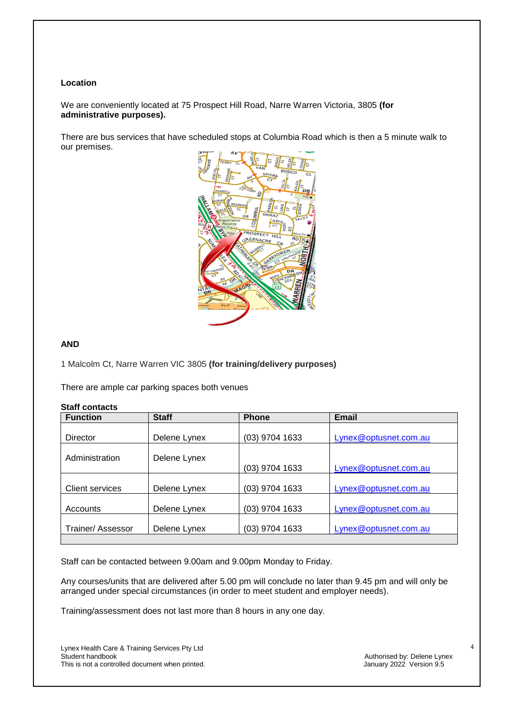#### **Location**

We are conveniently located at 75 Prospect Hill Road, Narre Warren Victoria, 3805 **(for administrative purposes).**

There are bus services that have scheduled stops at Columbia Road which is then a 5 minute walk to our premises.



#### **AND**

1 Malcolm Ct, Narre Warren VIC 3805 **(for training/delivery purposes)**

There are ample car parking spaces both venues

#### **Staff contacts**

| <b>Function</b>        | <b>Staff</b> | <b>Phone</b>   | Email                 |
|------------------------|--------------|----------------|-----------------------|
|                        |              |                |                       |
| Director               | Delene Lynex | (03) 9704 1633 | Lynex@optusnet.com.au |
| Administration         | Delene Lynex |                |                       |
|                        |              | (03) 9704 1633 | Lynex@optusnet.com.au |
| <b>Client services</b> | Delene Lynex | (03) 9704 1633 | Lynex@optusnet.com.au |
| Accounts               | Delene Lynex | (03) 9704 1633 | Lynex@optusnet.com.au |
| Trainer/ Assessor      | Delene Lynex | (03) 9704 1633 | Lynex@optusnet.com.au |
|                        |              |                |                       |

Staff can be contacted between 9.00am and 9.00pm Monday to Friday.

Any courses/units that are delivered after 5.00 pm will conclude no later than 9.45 pm and will only be arranged under special circumstances (in order to meet student and employer needs).

Training/assessment does not last more than 8 hours in any one day.

Lynex Health Care & Training Services Pty Ltd This is not a controlled document when printed.

Authorised by: Delene Lynex<br>January 2022 Version 9.5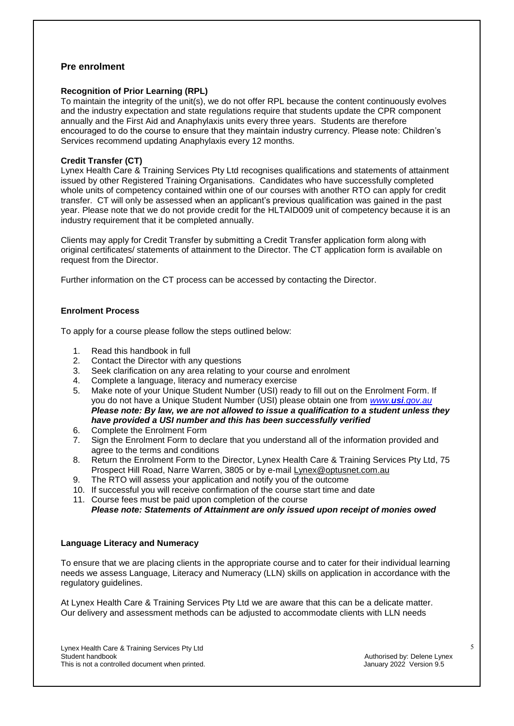## **Pre enrolment**

#### **Recognition of Prior Learning (RPL)**

To maintain the integrity of the unit(s), we do not offer RPL because the content continuously evolves and the industry expectation and state regulations require that students update the CPR component annually and the First Aid and Anaphylaxis units every three years. Students are therefore encouraged to do the course to ensure that they maintain industry currency. Please note: Children's Services recommend updating Anaphylaxis every 12 months.

#### **Credit Transfer (CT)**

Lynex Health Care & Training Services Pty Ltd recognises qualifications and statements of attainment issued by other Registered Training Organisations. Candidates who have successfully completed whole units of competency contained within one of our courses with another RTO can apply for credit transfer. CT will only be assessed when an applicant's previous qualification was gained in the past year. Please note that we do not provide credit for the HLTAID009 unit of competency because it is an industry requirement that it be completed annually.

Clients may apply for Credit Transfer by submitting a Credit Transfer application form along with original certificates/ statements of attainment to the Director. The CT application form is available on request from the Director.

Further information on the CT process can be accessed by contacting the Director.

#### **Enrolment Process**

To apply for a course please follow the steps outlined below:

- 1. Read this handbook in full
- 2. Contact the Director with any questions
- 3. Seek clarification on any area relating to your course and enrolment
- 4. Complete a language, literacy and numeracy exercise
- 5. Make note of your Unique Student Number (USI) ready to fill out on the Enrolment Form. If you do not have a Unique Student Number (USI) please obtain one from *www.usi[.gov.au](http://www.usi.gov.au/) Please note: By law, we are not allowed to issue a qualification to a student unless they have provided a USI number and this has been successfully verified*
- 6. Complete the Enrolment Form
- 7. Sign the Enrolment Form to declare that you understand all of the information provided and agree to the terms and conditions
- 8. Return the Enrolment Form to the Director, Lynex Health Care & Training Services Pty Ltd, 75 Prospect Hill Road, Narre Warren, 3805 or by e-mail [Lynex@optusnet.com.au](mailto:Lynex@optusnet.com.au)
- 9. The RTO will assess your application and notify you of the outcome
- 10. If successful you will receive confirmation of the course start time and date
- 11. Course fees must be paid upon completion of the course

*Please note: Statements of Attainment are only issued upon receipt of monies owed*

#### **Language Literacy and Numeracy**

To ensure that we are placing clients in the appropriate course and to cater for their individual learning needs we assess Language, Literacy and Numeracy (LLN) skills on application in accordance with the regulatory guidelines.

At Lynex Health Care & Training Services Pty Ltd we are aware that this can be a delicate matter. Our delivery and assessment methods can be adjusted to accommodate clients with LLN needs

Lynex Health Care & Training Services Pty Ltd This is not a controlled document when printed.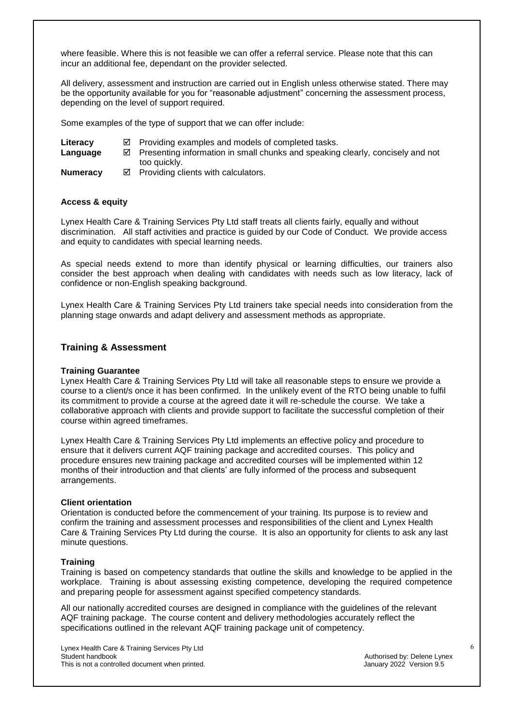where feasible. Where this is not feasible we can offer a referral service. Please note that this can incur an additional fee, dependant on the provider selected.

All delivery, assessment and instruction are carried out in English unless otherwise stated. There may be the opportunity available for you for "reasonable adjustment" concerning the assessment process, depending on the level of support required.

Some examples of the type of support that we can offer include:

- Literacy **Examples** and models of completed tasks.
- Language **EX** Presenting information in small chunks and speaking clearly, concisely and not too quickly.
- **Numeracy**  $\textcircled{}$  Providing clients with calculators.

#### **Access & equity**

Lynex Health Care & Training Services Pty Ltd staff treats all clients fairly, equally and without discrimination. All staff activities and practice is guided by our Code of Conduct. We provide access and equity to candidates with special learning needs.

As special needs extend to more than identify physical or learning difficulties, our trainers also consider the best approach when dealing with candidates with needs such as low literacy, lack of confidence or non-English speaking background.

Lynex Health Care & Training Services Pty Ltd trainers take special needs into consideration from the planning stage onwards and adapt delivery and assessment methods as appropriate.

### **Training & Assessment**

#### **Training Guarantee**

Lynex Health Care & Training Services Pty Ltd will take all reasonable steps to ensure we provide a course to a client/s once it has been confirmed. In the unlikely event of the RTO being unable to fulfil its commitment to provide a course at the agreed date it will re-schedule the course. We take a collaborative approach with clients and provide support to facilitate the successful completion of their course within agreed timeframes.

Lynex Health Care & Training Services Pty Ltd implements an effective policy and procedure to ensure that it delivers current AQF training package and accredited courses. This policy and procedure ensures new training package and accredited courses will be implemented within 12 months of their introduction and that clients' are fully informed of the process and subsequent arrangements.

#### **Client orientation**

Orientation is conducted before the commencement of your training. Its purpose is to review and confirm the training and assessment processes and responsibilities of the client and Lynex Health Care & Training Services Pty Ltd during the course. It is also an opportunity for clients to ask any last minute questions.

#### **Training**

Training is based on competency standards that outline the skills and knowledge to be applied in the workplace. Training is about assessing existing competence, developing the required competence and preparing people for assessment against specified competency standards.

All our nationally accredited courses are designed in compliance with the guidelines of the relevant AQF training package. The course content and delivery methodologies accurately reflect the specifications outlined in the relevant AQF training package unit of competency.

Lynex Health Care & Training Services Pty Ltd This is not a controlled document when printed.

Authorised by: Delene Lynex<br>January 2022 Version 9.5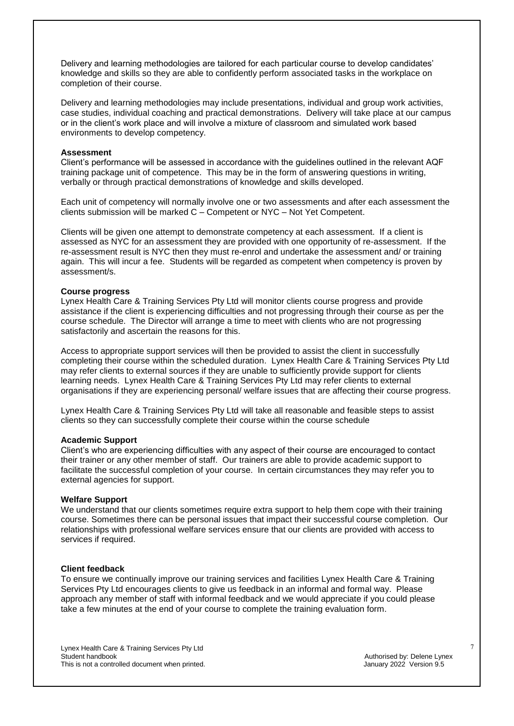Delivery and learning methodologies are tailored for each particular course to develop candidates' knowledge and skills so they are able to confidently perform associated tasks in the workplace on completion of their course.

Delivery and learning methodologies may include presentations, individual and group work activities, case studies, individual coaching and practical demonstrations. Delivery will take place at our campus or in the client's work place and will involve a mixture of classroom and simulated work based environments to develop competency.

#### **Assessment**

Client's performance will be assessed in accordance with the guidelines outlined in the relevant AQF training package unit of competence. This may be in the form of answering questions in writing, verbally or through practical demonstrations of knowledge and skills developed.

Each unit of competency will normally involve one or two assessments and after each assessment the clients submission will be marked C – Competent or NYC – Not Yet Competent.

Clients will be given one attempt to demonstrate competency at each assessment. If a client is assessed as NYC for an assessment they are provided with one opportunity of re-assessment. If the re-assessment result is NYC then they must re-enrol and undertake the assessment and/ or training again. This will incur a fee. Students will be regarded as competent when competency is proven by assessment/s.

#### **Course progress**

Lynex Health Care & Training Services Pty Ltd will monitor clients course progress and provide assistance if the client is experiencing difficulties and not progressing through their course as per the course schedule. The Director will arrange a time to meet with clients who are not progressing satisfactorily and ascertain the reasons for this.

Access to appropriate support services will then be provided to assist the client in successfully completing their course within the scheduled duration. Lynex Health Care & Training Services Pty Ltd may refer clients to external sources if they are unable to sufficiently provide support for clients learning needs. Lynex Health Care & Training Services Pty Ltd may refer clients to external organisations if they are experiencing personal/ welfare issues that are affecting their course progress.

Lynex Health Care & Training Services Pty Ltd will take all reasonable and feasible steps to assist clients so they can successfully complete their course within the course schedule

#### **Academic Support**

Client's who are experiencing difficulties with any aspect of their course are encouraged to contact their trainer or any other member of staff. Our trainers are able to provide academic support to facilitate the successful completion of your course. In certain circumstances they may refer you to external agencies for support.

#### **Welfare Support**

We understand that our clients sometimes require extra support to help them cope with their training course. Sometimes there can be personal issues that impact their successful course completion. Our relationships with professional welfare services ensure that our clients are provided with access to services if required.

#### **Client feedback**

To ensure we continually improve our training services and facilities Lynex Health Care & Training Services Pty Ltd encourages clients to give us feedback in an informal and formal way. Please approach any member of staff with informal feedback and we would appreciate if you could please take a few minutes at the end of your course to complete the training evaluation form.

Lynex Health Care & Training Services Pty Ltd This is not a controlled document when printed.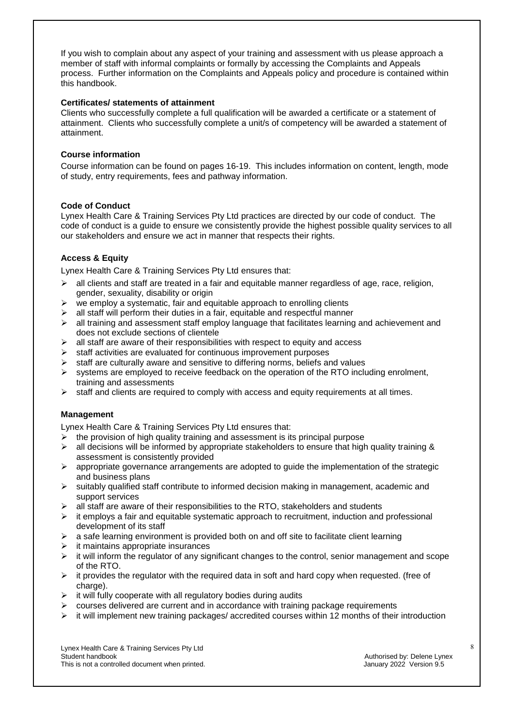If you wish to complain about any aspect of your training and assessment with us please approach a member of staff with informal complaints or formally by accessing the Complaints and Appeals process. Further information on the Complaints and Appeals policy and procedure is contained within this handbook.

#### **Certificates/ statements of attainment**

Clients who successfully complete a full qualification will be awarded a certificate or a statement of attainment. Clients who successfully complete a unit/s of competency will be awarded a statement of attainment.

#### **Course information**

Course information can be found on pages 16-19. This includes information on content, length, mode of study, entry requirements, fees and pathway information.

#### **Code of Conduct**

Lynex Health Care & Training Services Pty Ltd practices are directed by our code of conduct. The code of conduct is a guide to ensure we consistently provide the highest possible quality services to all our stakeholders and ensure we act in manner that respects their rights.

#### **Access & Equity**

Lynex Health Care & Training Services Pty Ltd ensures that:

- $\ge$  all clients and staff are treated in a fair and equitable manner regardless of age, race, religion, gender, sexuality, disability or origin
- $\triangleright$  we employ a systematic, fair and equitable approach to enrolling clients
- $\triangleright$  all staff will perform their duties in a fair, equitable and respectful manner
- $\triangleright$  all training and assessment staff employ language that facilitates learning and achievement and does not exclude sections of clientele
- $\triangleright$  all staff are aware of their responsibilities with respect to equity and access
- $\triangleright$  staff activities are evaluated for continuous improvement purposes
- $\triangleright$  staff are culturally aware and sensitive to differing norms, beliefs and values
- $\triangleright$  systems are employed to receive feedback on the operation of the RTO including enrolment, training and assessments
- $\triangleright$  staff and clients are required to comply with access and equity requirements at all times.

#### **Management**

Lynex Health Care & Training Services Pty Ltd ensures that:

- $\triangleright$  the provision of high quality training and assessment is its principal purpose
- $\triangleright$  all decisions will be informed by appropriate stakeholders to ensure that high quality training & assessment is consistently provided
- $\triangleright$  appropriate governance arrangements are adopted to guide the implementation of the strategic and business plans
- $\geq$  suitably qualified staff contribute to informed decision making in management, academic and support services
- $\ge$  all staff are aware of their responsibilities to the RTO, stakeholders and students
- $\triangleright$  it employs a fair and equitable systematic approach to recruitment, induction and professional development of its staff
- $\triangleright$  a safe learning environment is provided both on and off site to facilitate client learning
- $\geq$  it maintains appropriate insurances
- $\triangleright$  it will inform the regulator of any significant changes to the control, senior management and scope of the RTO.
- $\triangleright$  it provides the regulator with the required data in soft and hard copy when requested. (free of charge).
- $\triangleright$  it will fully cooperate with all regulatory bodies during audits
- $\triangleright$  courses delivered are current and in accordance with training package requirements
- it will implement new training packages/ accredited courses within 12 months of their introduction

Lynex Health Care & Training Services Pty Ltd This is not a controlled document when printed.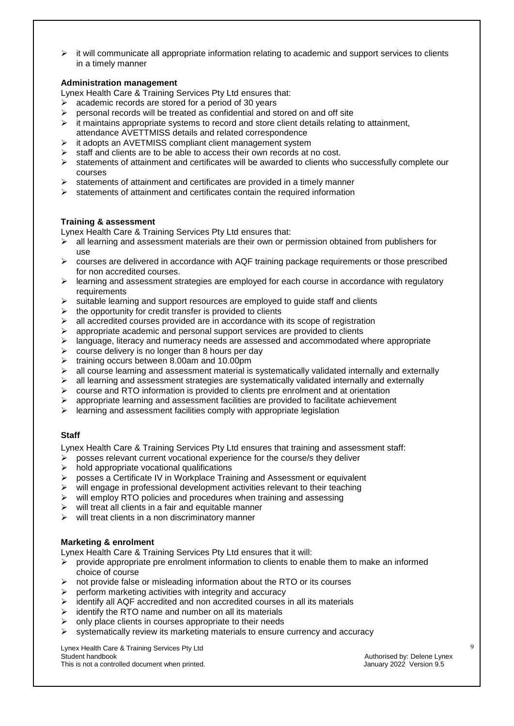it will communicate all appropriate information relating to academic and support services to clients in a timely manner

#### **Administration management**

Lynex Health Care & Training Services Pty Ltd ensures that:

- $\triangleright$  academic records are stored for a period of 30 years
- $\triangleright$  personal records will be treated as confidential and stored on and off site
- $\triangleright$  it maintains appropriate systems to record and store client details relating to attainment, attendance AVETTMISS details and related correspondence
- $\triangleright$  it adopts an AVETMISS compliant client management system
- $\geq$  staff and clients are to be able to access their own records at no cost.
- $\triangleright$  statements of attainment and certificates will be awarded to clients who successfully complete our courses
- $\triangleright$  statements of attainment and certificates are provided in a timely manner
- $\triangleright$  statements of attainment and certificates contain the required information

#### **Training & assessment**

Lynex Health Care & Training Services Pty Ltd ensures that:

- all learning and assessment materials are their own or permission obtained from publishers for use
- $\triangleright$  courses are delivered in accordance with AQF training package requirements or those prescribed for non accredited courses.
- $\triangleright$  learning and assessment strategies are employed for each course in accordance with regulatory requirements
- $\triangleright$  suitable learning and support resources are employed to quide staff and clients
- $\triangleright$  the opportunity for credit transfer is provided to clients
- $\triangleright$  all accredited courses provided are in accordance with its scope of registration
- $\triangleright$  appropriate academic and personal support services are provided to clients
- $\triangleright$  language, literacy and numeracy needs are assessed and accommodated where appropriate
- $\triangleright$  course delivery is no longer than 8 hours per day
- $\triangleright$  training occurs between 8.00am and 10.00pm
- $\triangleright$  all course learning and assessment material is systematically validated internally and externally
- $\triangleright$  all learning and assessment strategies are systematically validated internally and externally
- $\triangleright$  course and RTO information is provided to clients pre enrolment and at orientation
- $\triangleright$  appropriate learning and assessment facilities are provided to facilitate achievement
- $\triangleright$  learning and assessment facilities comply with appropriate legislation

#### **Staff**

Lynex Health Care & Training Services Pty Ltd ensures that training and assessment staff:

- $\triangleright$  posses relevant current vocational experience for the course/s they deliver
- $\triangleright$  hold appropriate vocational qualifications
- posses a Certificate IV in Workplace Training and Assessment or equivalent
- $\triangleright$  will engage in professional development activities relevant to their teaching
- $\triangleright$  will employ RTO policies and procedures when training and assessing
- $\triangleright$  will treat all clients in a fair and equitable manner
- $\triangleright$  will treat clients in a non discriminatory manner

#### **Marketing & enrolment**

Lynex Health Care & Training Services Pty Ltd ensures that it will:

- $\geq$  provide appropriate pre enrolment information to clients to enable them to make an informed choice of course
- $\triangleright$  not provide false or misleading information about the RTO or its courses
- $\triangleright$  perform marketing activities with integrity and accuracy
- $\triangleright$  identify all AQF accredited and non accredited courses in all its materials
- $\triangleright$  identify the RTO name and number on all its materials
- $\triangleright$  only place clients in courses appropriate to their needs
- $\triangleright$  systematically review its marketing materials to ensure currency and accuracy

Lynex Health Care & Training Services Pty Ltd This is not a controlled document when printed.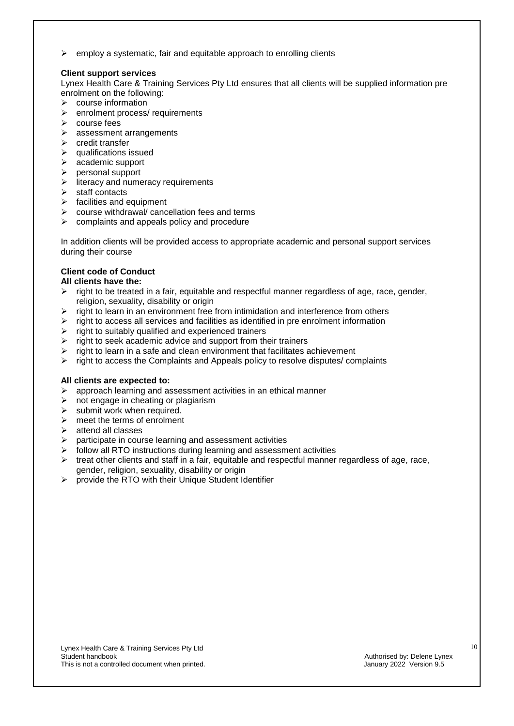$\triangleright$  employ a systematic, fair and equitable approach to enrolling clients

#### **Client support services**

Lynex Health Care & Training Services Pty Ltd ensures that all clients will be supplied information pre enrolment on the following:

- $\triangleright$  course information
- $\triangleright$  enrolment process/ requirements
- $\triangleright$  course fees
- $\triangleright$  assessment arrangements
- $\triangleright$  credit transfer
- $\triangleright$  qualifications issued
- $\triangleright$  academic support
- $\triangleright$  personal support
- $\triangleright$  literacy and numeracy requirements
- $\triangleright$  staff contacts
- $\triangleright$  facilities and equipment
- $\triangleright$  course withdrawal/ cancellation fees and terms
- $\triangleright$  complaints and appeals policy and procedure

In addition clients will be provided access to appropriate academic and personal support services during their course

### **Client code of Conduct**

#### **All clients have the:**

- $\triangleright$  right to be treated in a fair, equitable and respectful manner regardless of age, race, gender, religion, sexuality, disability or origin
- $\triangleright$  right to learn in an environment free from intimidation and interference from others
- $\triangleright$  right to access all services and facilities as identified in pre enrolment information
- $\triangleright$  right to suitably qualified and experienced trainers
- $\triangleright$  right to seek academic advice and support from their trainers
- $\triangleright$  right to learn in a safe and clean environment that facilitates achievement
- $\triangleright$  right to access the Complaints and Appeals policy to resolve disputes/ complaints

#### **All clients are expected to:**

- approach learning and assessment activities in an ethical manner
- $\triangleright$  not engage in cheating or plagiarism
- $\triangleright$  submit work when required.
- $\triangleright$  meet the terms of enrolment
- $\triangleright$  attend all classes
- $\triangleright$  participate in course learning and assessment activities
- follow all RTO instructions during learning and assessment activities
- $\triangleright$  treat other clients and staff in a fair, equitable and respectful manner regardless of age, race, gender, religion, sexuality, disability or origin
- $\triangleright$  provide the RTO with their Unique Student Identifier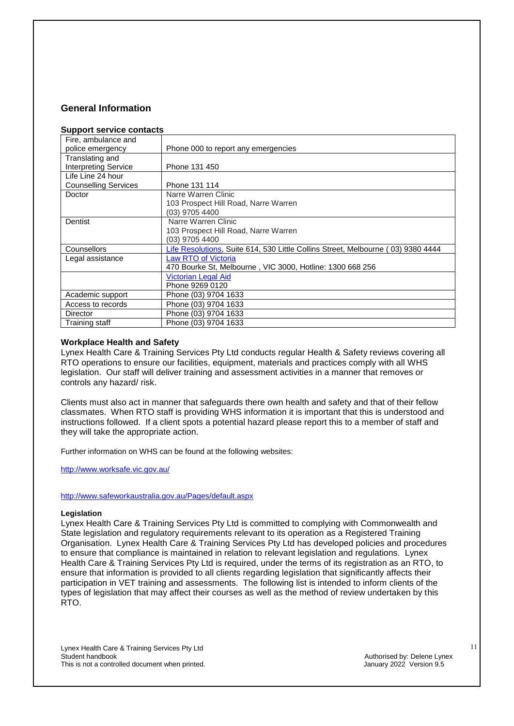## **General Information**

#### **Support service contacts**

| 00000113011100 001110013                |                                                                                  |
|-----------------------------------------|----------------------------------------------------------------------------------|
| Fire, ambulance and<br>police emergency | Phone 000 to report any emergencies                                              |
| Translating and                         |                                                                                  |
| <b>Interpreting Service</b>             | Phone 131 450                                                                    |
| Life Line 24 hour                       |                                                                                  |
| <b>Counselling Services</b>             | Phone 131 114                                                                    |
| Doctor                                  | Narre Warren Clinic                                                              |
|                                         | 103 Prospect Hill Road, Narre Warren                                             |
|                                         | (03) 9705 4400                                                                   |
| Dentist                                 | Narre Warren Clinic                                                              |
|                                         | 103 Prospect Hill Road, Narre Warren                                             |
|                                         | (03) 9705 4400                                                                   |
| Counsellors                             | Life Resolutions, Suite 614, 530 Little Collins Street, Melbourne (03) 9380 4444 |
| Legal assistance                        | <b>Law RTO of Victoria</b>                                                       |
|                                         | 470 Bourke St, Melbourne, VIC 3000, Hotline: 1300 668 256                        |
|                                         | <b>Victorian Legal Aid</b>                                                       |
|                                         | Phone 9269 0120                                                                  |
| Academic support                        | Phone (03) 9704 1633                                                             |
| Access to records                       | Phone (03) 9704 1633                                                             |
| Director                                | Phone (03) 9704 1633                                                             |
| Training staff                          | Phone (03) 9704 1633                                                             |

#### **Workplace Health and Safety**

Lynex Health Care & Training Services Pty Ltd conducts regular Health & Safety reviews covering all RTO operations to ensure our facilities, equipment, materials and practices comply with all WHS legislation. Our staff will deliver training and assessment activities in a manner that removes or controls any hazard/ risk.

Clients must also act in manner that safeguards there own health and safety and that of their fellow classmates. When RTO staff is providing WHS information it is important that this is understood and instructions followed. If a client spots a potential hazard please report this to a member of staff and they will take the appropriate action.

Further information on WHS can be found at the following websites:

<http://www.worksafe.vic.gov.au/>

<http://www.safeworkaustralia.gov.au/Pages/default.aspx>

#### **Legislation**

Lynex Health Care & Training Services Pty Ltd is committed to complying with Commonwealth and State legislation and regulatory requirements relevant to its operation as a Registered Training Organisation. Lynex Health Care & Training Services Pty Ltd has developed policies and procedures to ensure that compliance is maintained in relation to relevant legislation and regulations. Lynex Health Care & Training Services Pty Ltd is required, under the terms of its registration as an RTO, to ensure that information is provided to all clients regarding legislation that significantly affects their participation in VET training and assessments. The following list is intended to inform clients of the types of legislation that may affect their courses as well as the method of review undertaken by this RTO.

Lynex Health Care & Training Services Pty Ltd This is not a controlled document when printed.

Authorised by: Delene Lynex<br>January 2022 Version 9.5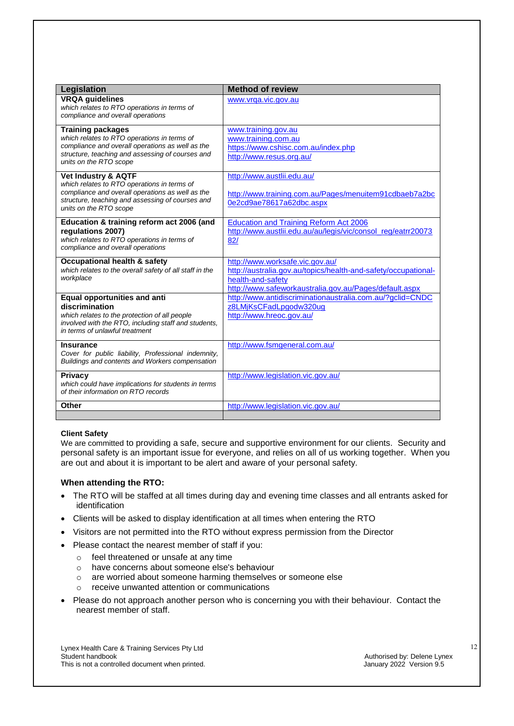| Legislation                                                                                                                                                                                                     | <b>Method of review</b>                                                                                                                                                          |
|-----------------------------------------------------------------------------------------------------------------------------------------------------------------------------------------------------------------|----------------------------------------------------------------------------------------------------------------------------------------------------------------------------------|
| <b>VRQA</b> guidelines<br>which relates to RTO operations in terms of<br>compliance and overall operations                                                                                                      | www.vrga.vic.gov.au                                                                                                                                                              |
| <b>Training packages</b><br>which relates to RTO operations in terms of<br>compliance and overall operations as well as the<br>structure, teaching and assessing of courses and<br>units on the RTO scope       | www.training.gov.au<br>www.training.com.au<br>https://www.cshisc.com.au/index.php<br>http://www.resus.org.au/                                                                    |
| <b>Vet Industry &amp; AQTF</b><br>which relates to RTO operations in terms of<br>compliance and overall operations as well as the<br>structure, teaching and assessing of courses and<br>units on the RTO scope | http://www.austlii.edu.au/<br>http://www.training.com.au/Pages/menuitem91cdbaeb7a2bc<br>0e2cd9ae78617a62dbc.aspx                                                                 |
| Education & training reform act 2006 (and<br>regulations 2007)<br>which relates to RTO operations in terms of<br>compliance and overall operations                                                              | <b>Education and Training Reform Act 2006</b><br>http://www.austlii.edu.au/au/legis/vic/consol_reg/eatrr20073<br>82/                                                             |
| <b>Occupational health &amp; safety</b><br>which relates to the overall safety of all staff in the<br>workplace                                                                                                 | http://www.worksafe.vic.gov.au/<br>http://australia.gov.au/topics/health-and-safety/occupational-<br>health-and-safety<br>http://www.safeworkaustralia.gov.au/Pages/default.aspx |
| Equal opportunities and anti<br>discrimination<br>which relates to the protection of all people<br>involved with the RTO, including staff and students,<br>in terms of unlawful treatment                       | http://www.antidiscriminationaustralia.com.au/?gclid=CNDC<br>z8LMjKsCFadLpgodw320ug<br>http://www.hreoc.gov.au/                                                                  |
| <b>Insurance</b><br>Cover for public liability, Professional indemnity,<br>Buildings and contents and Workers compensation                                                                                      | http://www.fsmgeneral.com.au/                                                                                                                                                    |
| <b>Privacy</b><br>which could have implications for students in terms<br>of their information on RTO records                                                                                                    | http://www.legislation.vic.gov.au/                                                                                                                                               |
| <b>Other</b>                                                                                                                                                                                                    | http://www.legislation.vic.gov.au/                                                                                                                                               |
|                                                                                                                                                                                                                 |                                                                                                                                                                                  |

#### **Client Safety**

We are committed to providing a safe, secure and supportive environment for our clients. Security and personal safety is an important issue for everyone, and relies on all of us working together. When you are out and about it is important to be alert and aware of your personal safety.

#### **When attending the RTO:**

- The RTO will be staffed at all times during day and evening time classes and all entrants asked for identification
- Clients will be asked to display identification at all times when entering the RTO
- Visitors are not permitted into the RTO without express permission from the Director
- Please contact the nearest member of staff if you:
	- o feel threatened or unsafe at any time
	- o have concerns about someone else's behaviour
	- o are worried about someone harming themselves or someone else
	- o receive unwanted attention or communications
- Please do not approach another person who is concerning you with their behaviour. Contact the nearest member of staff.

Lynex Health Care & Training Services Pty Ltd This is not a controlled document when printed.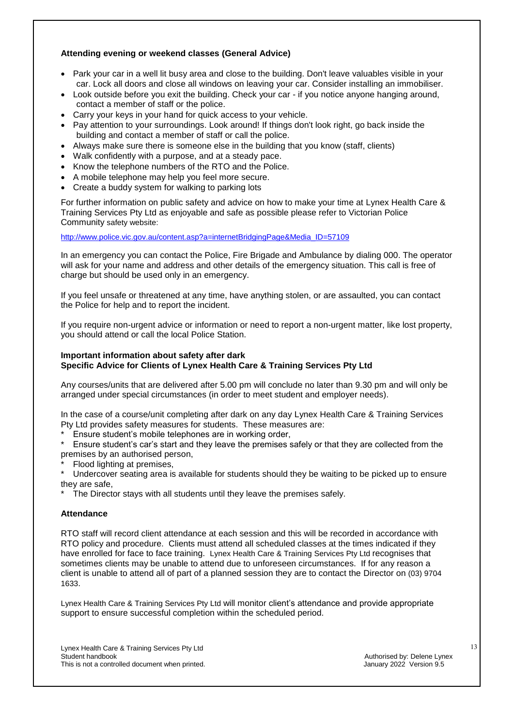#### **Attending evening or weekend classes (General Advice)**

- Park your car in a well lit busy area and close to the building. Don't leave valuables visible in your car. Lock all doors and close all windows on leaving your car. Consider installing an immobiliser.
- Look outside before you exit the building. Check your car if you notice anyone hanging around, contact a member of staff or the police.
- Carry your keys in your hand for quick access to your vehicle.
- Pay attention to your surroundings. Look around! If things don't look right, go back inside the building and contact a member of staff or call the police.
- Always make sure there is someone else in the building that you know (staff, clients)
- Walk confidently with a purpose, and at a steady pace.
- Know the telephone numbers of the RTO and the Police.
- A mobile telephone may help you feel more secure.
- Create a buddy system for walking to parking lots

For further information on public safety and advice on how to make your time at Lynex Health Care & Training Services Pty Ltd as enjoyable and safe as possible please refer to Victorian Police Community safety website:

[http://www.police.vic.gov.au/content.asp?a=internetBridgingPage&Media\\_ID=57109](http://www.police.vic.gov.au/content.asp?a=internetBridgingPage&Media_ID=57109)

In an emergency you can contact the Police, Fire Brigade and Ambulance by dialing 000. The operator will ask for your name and address and other details of the emergency situation. This call is free of charge but should be used only in an emergency.

If you feel unsafe or threatened at any time, have anything stolen, or are assaulted, you can contact the Police for help and to report the incident.

If you require non-urgent advice or information or need to report a non-urgent matter, like lost property, you should attend or call the local Police Station.

#### **Important information about safety after dark Specific Advice for Clients of Lynex Health Care & Training Services Pty Ltd**

Any courses/units that are delivered after 5.00 pm will conclude no later than 9.30 pm and will only be arranged under special circumstances (in order to meet student and employer needs).

In the case of a course/unit completing after dark on any day Lynex Health Care & Training Services Pty Ltd provides safety measures for students. These measures are:

Ensure student's mobile telephones are in working order,

Ensure student's car's start and they leave the premises safely or that they are collected from the premises by an authorised person,

Flood lighting at premises,

Undercover seating area is available for students should they be waiting to be picked up to ensure they are safe,

The Director stays with all students until they leave the premises safely.

#### **Attendance**

RTO staff will record client attendance at each session and this will be recorded in accordance with RTO policy and procedure. Clients must attend all scheduled classes at the times indicated if they have enrolled for face to face training. Lynex Health Care & Training Services Pty Ltd recognises that sometimes clients may be unable to attend due to unforeseen circumstances. If for any reason a client is unable to attend all of part of a planned session they are to contact the Director on (03) 9704 1633.

Lynex Health Care & Training Services Pty Ltd will monitor client's attendance and provide appropriate support to ensure successful completion within the scheduled period.

Lynex Health Care & Training Services Pty Ltd This is not a controlled document when printed.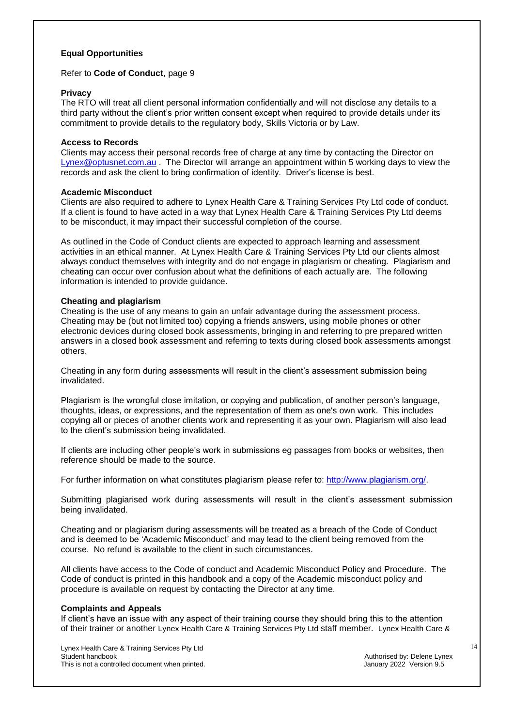#### **Equal Opportunities**

#### Refer to **Code of Conduct**, page 9

#### **Privacy**

The RTO will treat all client personal information confidentially and will not disclose any details to a third party without the client's prior written consent except when required to provide details under its commitment to provide details to the regulatory body, Skills Victoria or by Law.

#### **Access to Records**

Clients may access their personal records free of charge at any time by contacting the Director on [Lynex@optusnet.com.au](mailto:Lynex@optusnet.com.au) . The Director will arrange an appointment within 5 working days to view the records and ask the client to bring confirmation of identity. Driver's license is best.

#### **Academic Misconduct**

Clients are also required to adhere to Lynex Health Care & Training Services Pty Ltd code of conduct. If a client is found to have acted in a way that Lynex Health Care & Training Services Pty Ltd deems to be misconduct, it may impact their successful completion of the course.

As outlined in the Code of Conduct clients are expected to approach learning and assessment activities in an ethical manner. At Lynex Health Care & Training Services Pty Ltd our clients almost always conduct themselves with integrity and do not engage in plagiarism or cheating. Plagiarism and cheating can occur over confusion about what the definitions of each actually are. The following information is intended to provide guidance.

#### **Cheating and plagiarism**

Cheating is the use of any means to gain an unfair advantage during the assessment process. Cheating may be (but not limited too) copying a friends answers, using mobile phones or other electronic devices during closed book assessments, bringing in and referring to pre prepared written answers in a closed book assessment and referring to texts during closed book assessments amongst others.

Cheating in any form during assessments will result in the client's assessment submission being invalidated.

Plagiarism is the wrongful close imitation, or copying and publication, of another person's language, thoughts, ideas, or expressions, and the representation of them as one's own work. This includes copying all or pieces of another clients work and representing it as your own. Plagiarism will also lead to the client's submission being invalidated.

If clients are including other people's work in submissions eg passages from books or websites, then reference should be made to the source.

For further information on what constitutes plagiarism please refer to: [http://www.plagiarism.org/.](http://www.plagiarism.org/)

Submitting plagiarised work during assessments will result in the client's assessment submission being invalidated.

Cheating and or plagiarism during assessments will be treated as a breach of the Code of Conduct and is deemed to be 'Academic Misconduct' and may lead to the client being removed from the course. No refund is available to the client in such circumstances.

All clients have access to the Code of conduct and Academic Misconduct Policy and Procedure. The Code of conduct is printed in this handbook and a copy of the Academic misconduct policy and procedure is available on request by contacting the Director at any time.

#### **Complaints and Appeals**

If client's have an issue with any aspect of their training course they should bring this to the attention of their trainer or another Lynex Health Care & Training Services Pty Ltd staff member. Lynex Health Care &

Lynex Health Care & Training Services Pty Ltd This is not a controlled document when printed.

Authorised by: Delene Lynex<br>January 2022 Version 9.5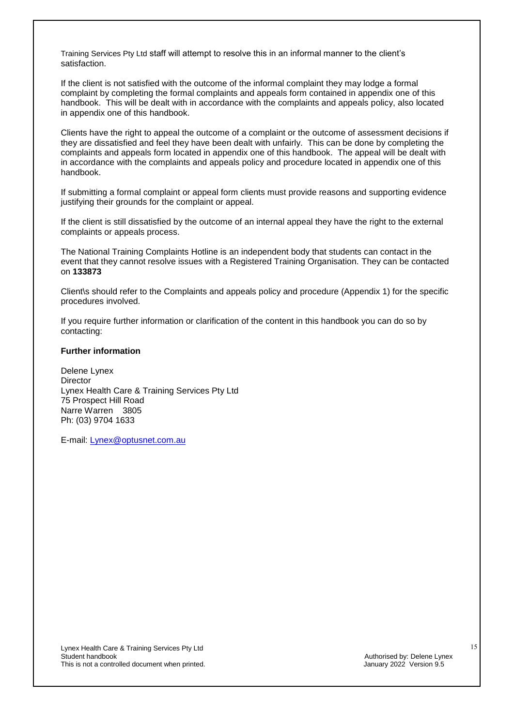Training Services Pty Ltd staff will attempt to resolve this in an informal manner to the client's satisfaction.

If the client is not satisfied with the outcome of the informal complaint they may lodge a formal complaint by completing the formal complaints and appeals form contained in appendix one of this handbook. This will be dealt with in accordance with the complaints and appeals policy, also located in appendix one of this handbook.

Clients have the right to appeal the outcome of a complaint or the outcome of assessment decisions if they are dissatisfied and feel they have been dealt with unfairly. This can be done by completing the complaints and appeals form located in appendix one of this handbook. The appeal will be dealt with in accordance with the complaints and appeals policy and procedure located in appendix one of this handbook.

If submitting a formal complaint or appeal form clients must provide reasons and supporting evidence justifying their grounds for the complaint or appeal.

If the client is still dissatisfied by the outcome of an internal appeal they have the right to the external complaints or appeals process.

The National Training Complaints Hotline is an independent body that students can contact in the event that they cannot resolve issues with a Registered Training Organisation. They can be contacted on **133873**

Client\s should refer to the Complaints and appeals policy and procedure (Appendix 1) for the specific procedures involved.

If you require further information or clarification of the content in this handbook you can do so by contacting:

#### **Further information**

Delene Lynex **Director** Lynex Health Care & Training Services Pty Ltd 75 Prospect Hill Road Narre Warren 3805 Ph: (03) 9704 1633

E-mail: [Lynex@optusnet.com.au](mailto:Lynex@optusnet.com.au)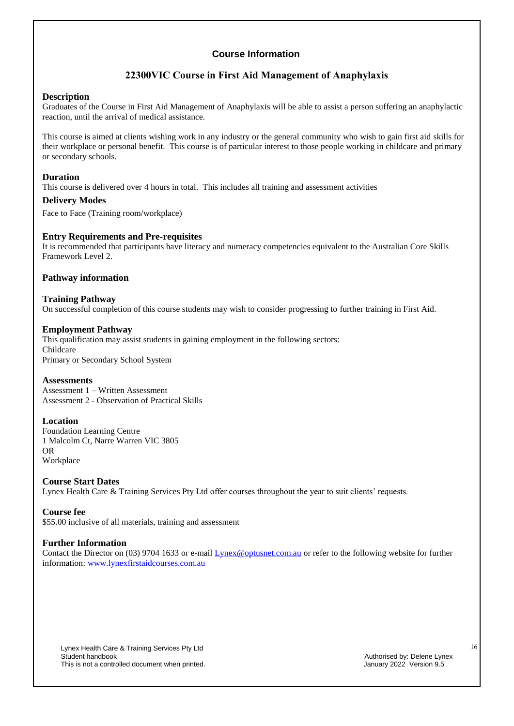## **22300VIC Course in First Aid Management of Anaphylaxis**

#### **Description**

Graduates of the Course in First Aid Management of Anaphylaxis will be able to assist a person suffering an anaphylactic reaction, until the arrival of medical assistance.

This course is aimed at clients wishing work in any industry or the general community who wish to gain first aid skills for their workplace or personal benefit. This course is of particular interest to those people working in childcare and primary or secondary schools.

#### **Duration**

This course is delivered over 4 hours in total. This includes all training and assessment activities

#### **Delivery Modes**

Face to Face (Training room/workplace)

#### **Entry Requirements and Pre-requisites**

It is recommended that participants have literacy and numeracy competencies equivalent to the Australian Core Skills Framework Level 2.

#### **Pathway information**

#### **Training Pathway**

On successful completion of this course students may wish to consider progressing to further training in First Aid.

#### **Employment Pathway**

This qualification may assist students in gaining employment in the following sectors: Childcare Primary or Secondary School System

#### **Assessments**

Assessment 1 – Written Assessment Assessment 2 - Observation of Practical Skills

#### **Location**

Foundation Learning Centre 1 Malcolm Ct, Narre Warren VIC 3805 OR Workplace

#### **Course Start Dates**

Lynex Health Care & Training Services Pty Ltd offer courses throughout the year to suit clients' requests.

#### **Course fee**

\$55.00 inclusive of all materials, training and assessment

#### **Further Information**

Contact the Director on (03) 9704 1633 or e-mail **Lynex** @optusnet.com.au or refer to the following website for further information: [www.lynexfirstaidcourses.com.au](http://www.lynexfirstaidcourses.com.au/)

Lynex Health Care & Training Services Pty Ltd This is not a controlled document when printed.

Authorised by: Delene Lynex<br>January 2022 Version 9.5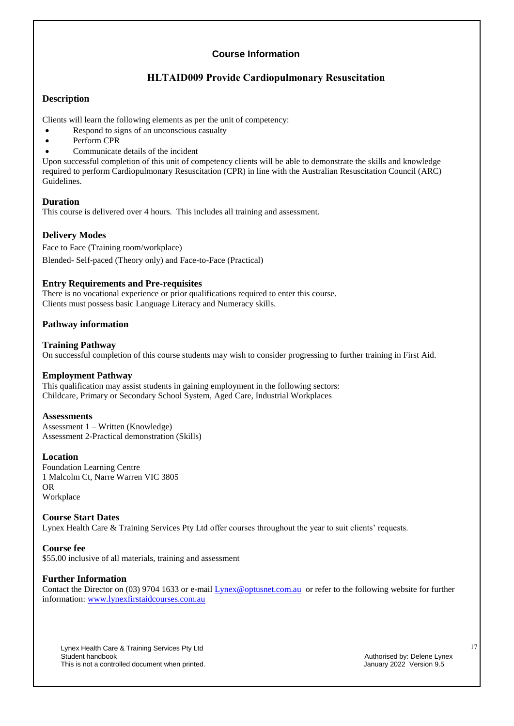## **HLTAID009 Provide Cardiopulmonary Resuscitation**

### **Description**

Clients will learn the following elements as per the unit of competency:

- Respond to signs of an unconscious casualty
- Perform CPR
- Communicate details of the incident

Upon successful completion of this unit of competency clients will be able to demonstrate the skills and knowledge required to perform Cardiopulmonary Resuscitation (CPR) in line with the Australian Resuscitation Council (ARC) Guidelines.

#### **Duration**

This course is delivered over 4 hours. This includes all training and assessment.

### **Delivery Modes**

Face to Face (Training room/workplace) Blended- Self-paced (Theory only) and Face-to-Face (Practical)

#### **Entry Requirements and Pre-requisites**

There is no vocational experience or prior qualifications required to enter this course. Clients must possess basic Language Literacy and Numeracy skills.

### **Pathway information**

#### **Training Pathway**

On successful completion of this course students may wish to consider progressing to further training in First Aid.

#### **Employment Pathway**

This qualification may assist students in gaining employment in the following sectors: Childcare, Primary or Secondary School System, Aged Care, Industrial Workplaces

#### **Assessments**

Assessment 1 – Written (Knowledge) Assessment 2-Practical demonstration (Skills)

#### **Location**

Foundation Learning Centre 1 Malcolm Ct, Narre Warren VIC 3805 OR Workplace

#### **Course Start Dates**

Lynex Health Care & Training Services Pty Ltd offer courses throughout the year to suit clients' requests.

#### **Course fee**

\$55.00 inclusive of all materials, training and assessment

#### **Further Information**

Contact the Director on (03) 9704 1633 or e-mail [Lynex@optusnet.com.au](mailto:Lynex@optusnet.com.au) or refer to the following website for further information: [www.lynexfirstaidcourses.com.au](http://www.lynexfirstaidcourses.com.au/)

Lynex Health Care & Training Services Pty Ltd This is not a controlled document when printed.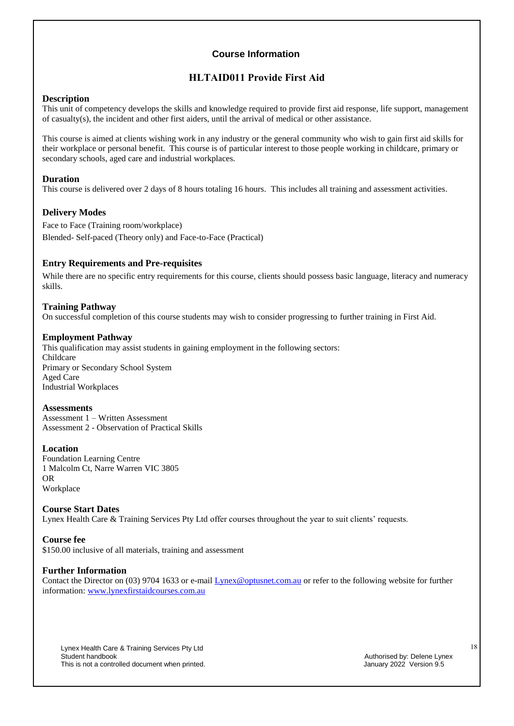## **HLTAID011 Provide First Aid**

#### **Description**

This unit of competency develops the skills and knowledge required to provide first aid response, life support, management of casualty(s), the incident and other first aiders, until the arrival of medical or other assistance.

This course is aimed at clients wishing work in any industry or the general community who wish to gain first aid skills for their workplace or personal benefit. This course is of particular interest to those people working in childcare, primary or secondary schools, aged care and industrial workplaces.

#### **Duration**

This course is delivered over 2 days of 8 hours totaling 16 hours. This includes all training and assessment activities.

#### **Delivery Modes**

Face to Face (Training room/workplace) Blended- Self-paced (Theory only) and Face-to-Face (Practical)

#### **Entry Requirements and Pre-requisites**

While there are no specific entry requirements for this course, clients should possess basic language, literacy and numeracy skills.

#### **Training Pathway**

On successful completion of this course students may wish to consider progressing to further training in First Aid.

#### **Employment Pathway**

This qualification may assist students in gaining employment in the following sectors: Childcare Primary or Secondary School System Aged Care Industrial Workplaces

#### **Assessments**

Assessment 1 – Written Assessment Assessment 2 - Observation of Practical Skills

#### **Location**

Foundation Learning Centre 1 Malcolm Ct, Narre Warren VIC 3805 OR Workplace

#### **Course Start Dates**

Lynex Health Care & Training Services Pty Ltd offer courses throughout the year to suit clients' requests.

#### **Course fee**

\$150.00 inclusive of all materials, training and assessment

#### **Further Information**

Contact the Director on (03) 9704 1633 or e-mail [Lynex@optusnet.com.au](mailto:Lynex@optusnet.com.au) or refer to the following website for further information: [www.lynexfirstaidcourses.com.au](http://www.lynexfirstaidcourses.com.au/)

Lynex Health Care & Training Services Pty Ltd This is not a controlled document when printed.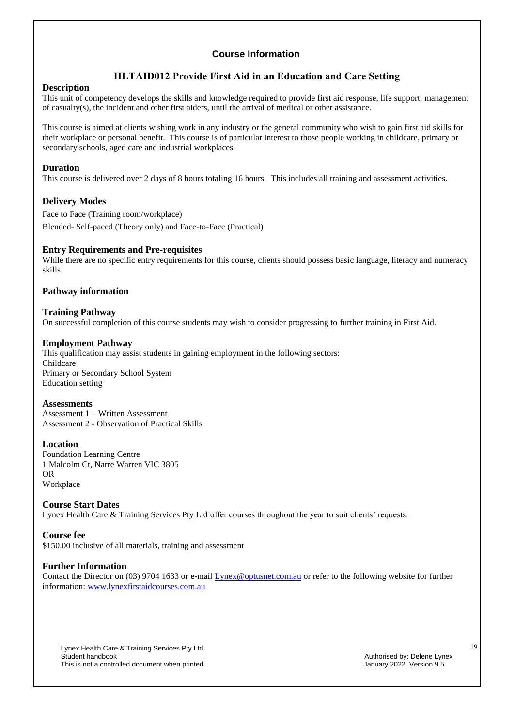## **HLTAID012 Provide First Aid in an Education and Care Setting**

#### **Description**

This unit of competency develops the skills and knowledge required to provide first aid response, life support, management of casualty(s), the incident and other first aiders, until the arrival of medical or other assistance.

This course is aimed at clients wishing work in any industry or the general community who wish to gain first aid skills for their workplace or personal benefit. This course is of particular interest to those people working in childcare, primary or secondary schools, aged care and industrial workplaces.

#### **Duration**

This course is delivered over 2 days of 8 hours totaling 16 hours. This includes all training and assessment activities.

#### **Delivery Modes**

Face to Face (Training room/workplace) Blended- Self-paced (Theory only) and Face-to-Face (Practical)

#### **Entry Requirements and Pre-requisites**

While there are no specific entry requirements for this course, clients should possess basic language, literacy and numeracy skills.

### **Pathway information**

#### **Training Pathway**

On successful completion of this course students may wish to consider progressing to further training in First Aid.

#### **Employment Pathway**

This qualification may assist students in gaining employment in the following sectors: Childcare Primary or Secondary School System Education setting

#### **Assessments**

Assessment 1 – Written Assessment Assessment 2 - Observation of Practical Skills

#### **Location**

Foundation Learning Centre 1 Malcolm Ct, Narre Warren VIC 3805 OR Workplace

#### **Course Start Dates**

Lynex Health Care & Training Services Pty Ltd offer courses throughout the year to suit clients' requests.

#### **Course fee**

\$150.00 inclusive of all materials, training and assessment

#### **Further Information**

Contact the Director on (03) 9704 1633 or e-mail [Lynex@optusnet.com.au](mailto:Lynex@optusnet.com.au) or refer to the following website for further information: [www.lynexfirstaidcourses.com.au](http://www.lynexfirstaidcourses.com.au/)

Lynex Health Care & Training Services Pty Ltd This is not a controlled document when printed.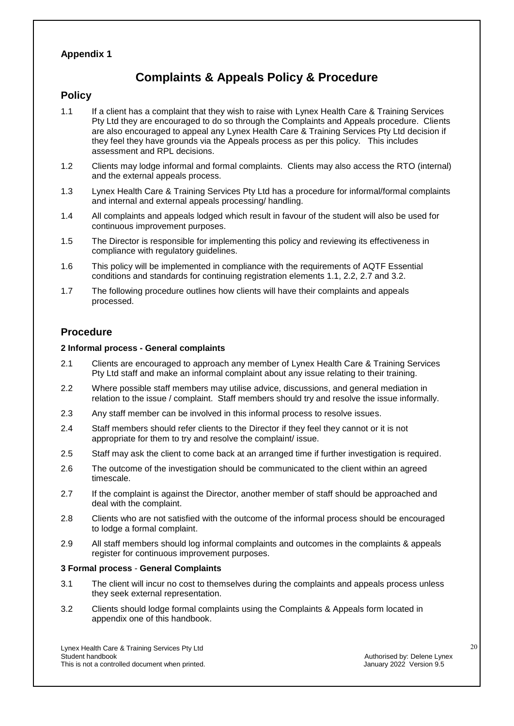## **Appendix 1**

## **Complaints & Appeals Policy & Procedure**

## **Policy**

- 1.1 If a client has a complaint that they wish to raise with Lynex Health Care & Training Services Pty Ltd they are encouraged to do so through the Complaints and Appeals procedure. Clients are also encouraged to appeal any Lynex Health Care & Training Services Pty Ltd decision if they feel they have grounds via the Appeals process as per this policy. This includes assessment and RPL decisions.
- 1.2 Clients may lodge informal and formal complaints. Clients may also access the RTO (internal) and the external appeals process.
- 1.3 Lynex Health Care & Training Services Pty Ltd has a procedure for informal/formal complaints and internal and external appeals processing/ handling.
- 1.4 All complaints and appeals lodged which result in favour of the student will also be used for continuous improvement purposes.
- 1.5 The Director is responsible for implementing this policy and reviewing its effectiveness in compliance with regulatory guidelines.
- 1.6 This policy will be implemented in compliance with the requirements of AQTF Essential conditions and standards for continuing registration elements 1.1, 2.2, 2.7 and 3.2.
- 1.7 The following procedure outlines how clients will have their complaints and appeals processed.

## **Procedure**

#### **2 Informal process - General complaints**

- 2.1 Clients are encouraged to approach any member of Lynex Health Care & Training Services Pty Ltd staff and make an informal complaint about any issue relating to their training.
- 2.2 Where possible staff members may utilise advice, discussions, and general mediation in relation to the issue / complaint. Staff members should try and resolve the issue informally.
- 2.3 Any staff member can be involved in this informal process to resolve issues.
- 2.4 Staff members should refer clients to the Director if they feel they cannot or it is not appropriate for them to try and resolve the complaint/ issue.
- 2.5 Staff may ask the client to come back at an arranged time if further investigation is required.
- 2.6 The outcome of the investigation should be communicated to the client within an agreed timescale.
- 2.7 If the complaint is against the Director, another member of staff should be approached and deal with the complaint.
- 2.8 Clients who are not satisfied with the outcome of the informal process should be encouraged to lodge a formal complaint.
- 2.9 All staff members should log informal complaints and outcomes in the complaints & appeals register for continuous improvement purposes.

#### **3 Formal process** - **General Complaints**

- 3.1 The client will incur no cost to themselves during the complaints and appeals process unless they seek external representation.
- 3.2 Clients should lodge formal complaints using the Complaints & Appeals form located in appendix one of this handbook.

Lynex Health Care & Training Services Pty Ltd This is not a controlled document when printed.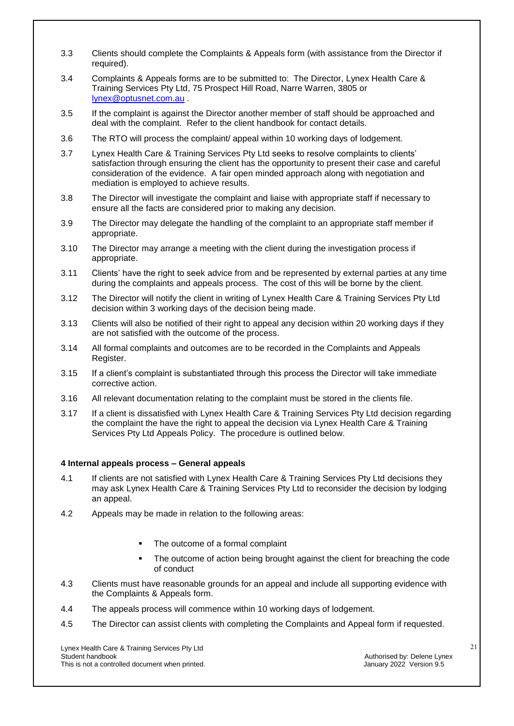- 3.3 Clients should complete the Complaints & Appeals form (with assistance from the Director if required).
- 3.4 Complaints & Appeals forms are to be submitted to: The Director, Lynex Health Care & Training Services Pty Ltd, 75 Prospect Hill Road, Narre Warren, 3805 or [lynex@optusnet.com.au](mailto:lynex@optusnet.com.au) .
- 3.5 If the complaint is against the Director another member of staff should be approached and deal with the complaint. Refer to the client handbook for contact details.
- 3.6 The RTO will process the complaint/ appeal within 10 working days of lodgement.
- 3.7 Lynex Health Care & Training Services Pty Ltd seeks to resolve complaints to clients' satisfaction through ensuring the client has the opportunity to present their case and careful consideration of the evidence. A fair open minded approach along with negotiation and mediation is employed to achieve results.
- 3.8 The Director will investigate the complaint and liaise with appropriate staff if necessary to ensure all the facts are considered prior to making any decision.
- 3.9 The Director may delegate the handling of the complaint to an appropriate staff member if appropriate.
- 3.10 The Director may arrange a meeting with the client during the investigation process if appropriate.
- 3.11 Clients' have the right to seek advice from and be represented by external parties at any time during the complaints and appeals process. The cost of this will be borne by the client.
- 3.12 The Director will notify the client in writing of Lynex Health Care & Training Services Pty Ltd decision within 3 working days of the decision being made.
- 3.13 Clients will also be notified of their right to appeal any decision within 20 working days if they are not satisfied with the outcome of the process.
- 3.14 All formal complaints and outcomes are to be recorded in the Complaints and Appeals Register.
- 3.15 If a client's complaint is substantiated through this process the Director will take immediate corrective action.
- 3.16 All relevant documentation relating to the complaint must be stored in the clients file.
- 3.17 If a client is dissatisfied with Lynex Health Care & Training Services Pty Ltd decision regarding the complaint the have the right to appeal the decision via Lynex Health Care & Training Services Pty Ltd Appeals Policy. The procedure is outlined below.

#### **4 Internal appeals process – General appeals**

- 4.1 If clients are not satisfied with Lynex Health Care & Training Services Pty Ltd decisions they may ask Lynex Health Care & Training Services Pty Ltd to reconsider the decision by lodging an appeal.
- 4.2 Appeals may be made in relation to the following areas:
	- The outcome of a formal complaint
	- The outcome of action being brought against the client for breaching the code of conduct
- 4.3 Clients must have reasonable grounds for an appeal and include all supporting evidence with the Complaints & Appeals form.
- 4.4 The appeals process will commence within 10 working days of lodgement.
- 4.5 The Director can assist clients with completing the Complaints and Appeal form if requested.

Lynex Health Care & Training Services Pty Ltd This is not a controlled document when printed.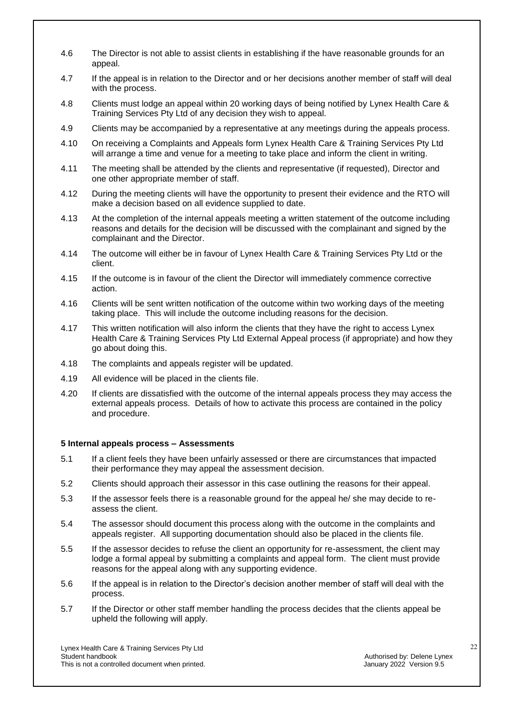- 4.6 The Director is not able to assist clients in establishing if the have reasonable grounds for an appeal.
- 4.7 If the appeal is in relation to the Director and or her decisions another member of staff will deal with the process.
- 4.8 Clients must lodge an appeal within 20 working days of being notified by Lynex Health Care & Training Services Pty Ltd of any decision they wish to appeal.
- 4.9 Clients may be accompanied by a representative at any meetings during the appeals process.
- 4.10 On receiving a Complaints and Appeals form Lynex Health Care & Training Services Pty Ltd will arrange a time and venue for a meeting to take place and inform the client in writing.
- 4.11 The meeting shall be attended by the clients and representative (if requested), Director and one other appropriate member of staff.
- 4.12 During the meeting clients will have the opportunity to present their evidence and the RTO will make a decision based on all evidence supplied to date.
- 4.13 At the completion of the internal appeals meeting a written statement of the outcome including reasons and details for the decision will be discussed with the complainant and signed by the complainant and the Director.
- 4.14 The outcome will either be in favour of Lynex Health Care & Training Services Pty Ltd or the client.
- 4.15 If the outcome is in favour of the client the Director will immediately commence corrective action.
- 4.16 Clients will be sent written notification of the outcome within two working days of the meeting taking place. This will include the outcome including reasons for the decision.
- 4.17 This written notification will also inform the clients that they have the right to access Lynex Health Care & Training Services Pty Ltd External Appeal process (if appropriate) and how they go about doing this.
- 4.18 The complaints and appeals register will be updated.
- 4.19 All evidence will be placed in the clients file.
- 4.20 If clients are dissatisfied with the outcome of the internal appeals process they may access the external appeals process. Details of how to activate this process are contained in the policy and procedure.

#### **5 Internal appeals process – Assessments**

- 5.1 If a client feels they have been unfairly assessed or there are circumstances that impacted their performance they may appeal the assessment decision.
- 5.2 Clients should approach their assessor in this case outlining the reasons for their appeal.
- 5.3 If the assessor feels there is a reasonable ground for the appeal he/ she may decide to reassess the client.
- 5.4 The assessor should document this process along with the outcome in the complaints and appeals register. All supporting documentation should also be placed in the clients file.
- 5.5 If the assessor decides to refuse the client an opportunity for re-assessment, the client may lodge a formal appeal by submitting a complaints and appeal form. The client must provide reasons for the appeal along with any supporting evidence.
- 5.6 If the appeal is in relation to the Director's decision another member of staff will deal with the process.
- 5.7 If the Director or other staff member handling the process decides that the clients appeal be upheld the following will apply.

Lynex Health Care & Training Services Pty Ltd This is not a controlled document when printed.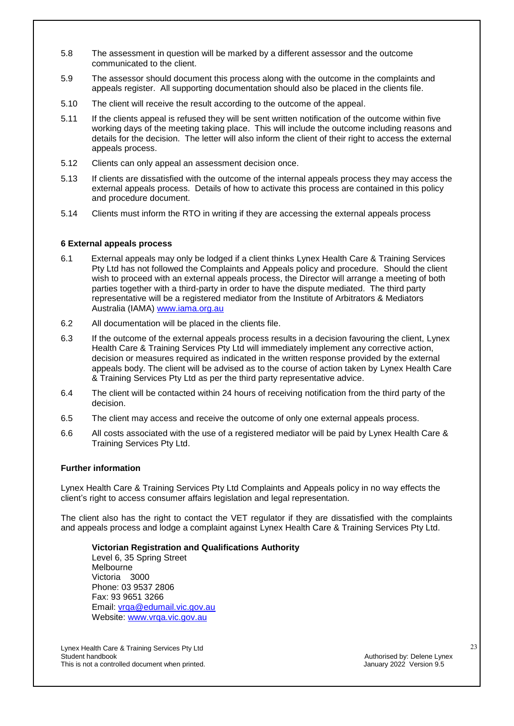- 5.8 The assessment in question will be marked by a different assessor and the outcome communicated to the client.
- 5.9 The assessor should document this process along with the outcome in the complaints and appeals register. All supporting documentation should also be placed in the clients file.
- 5.10 The client will receive the result according to the outcome of the appeal.
- 5.11 If the clients appeal is refused they will be sent written notification of the outcome within five working days of the meeting taking place. This will include the outcome including reasons and details for the decision. The letter will also inform the client of their right to access the external appeals process.
- 5.12 Clients can only appeal an assessment decision once.
- 5.13 If clients are dissatisfied with the outcome of the internal appeals process they may access the external appeals process. Details of how to activate this process are contained in this policy and procedure document.
- 5.14 Clients must inform the RTO in writing if they are accessing the external appeals process

#### **6 External appeals process**

- 6.1 External appeals may only be lodged if a client thinks Lynex Health Care & Training Services Pty Ltd has not followed the Complaints and Appeals policy and procedure. Should the client wish to proceed with an external appeals process, the Director will arrange a meeting of both parties together with a third-party in order to have the dispute mediated. The third party representative will be a registered mediator from the Institute of Arbitrators & Mediators Australia (IAMA) [www.iama.org.au](http://www.iama.org.au/)
- 6.2 All documentation will be placed in the clients file.
- 6.3 If the outcome of the external appeals process results in a decision favouring the client, Lynex Health Care & Training Services Pty Ltd will immediately implement any corrective action, decision or measures required as indicated in the written response provided by the external appeals body. The client will be advised as to the course of action taken by Lynex Health Care & Training Services Pty Ltd as per the third party representative advice.
- 6.4 The client will be contacted within 24 hours of receiving notification from the third party of the decision.
- 6.5 The client may access and receive the outcome of only one external appeals process.
- 6.6 All costs associated with the use of a registered mediator will be paid by Lynex Health Care & Training Services Pty Ltd.

#### **Further information**

Lynex Health Care & Training Services Pty Ltd Complaints and Appeals policy in no way effects the client's right to access consumer affairs legislation and legal representation.

The client also has the right to contact the VET regulator if they are dissatisfied with the complaints and appeals process and lodge a complaint against Lynex Health Care & Training Services Pty Ltd.

**Victorian Registration and Qualifications Authority**

Level 6, 35 Spring Street Melbourne Victoria 3000 Phone: 03 9537 2806 Fax: 93 9651 3266 Email: [vrqa@edumail.vic.gov.au](mailto:vrqa@edumail.vic.gov.au) Website: [www.vrqa.vic.gov.au](http://www.vrqa.vic.gov.au/)

Lynex Health Care & Training Services Pty Ltd This is not a controlled document when printed.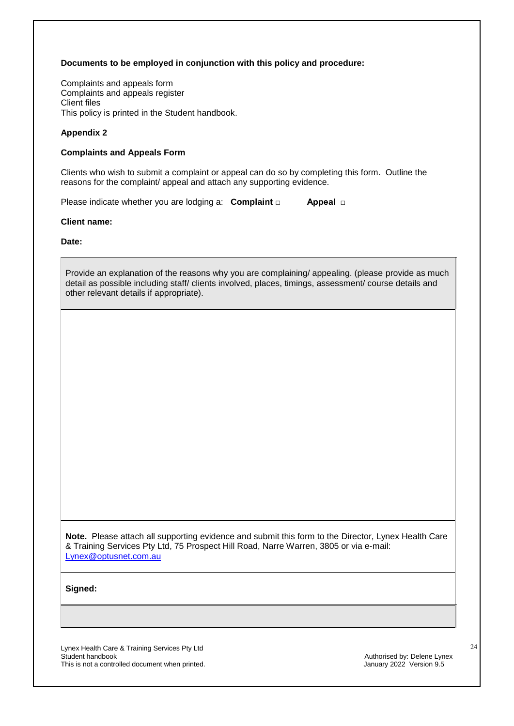#### **Documents to be employed in conjunction with this policy and procedure:**

Complaints and appeals form Complaints and appeals register Client files This policy is printed in the Student handbook.

#### **Appendix 2**

#### **Complaints and Appeals Form**

Clients who wish to submit a complaint or appeal can do so by completing this form. Outline the reasons for the complaint/ appeal and attach any supporting evidence.

Please indicate whether you are lodging a: **Complaint** □ **Appeal** □

#### **Client name:**

**Date:**

Provide an explanation of the reasons why you are complaining/ appealing. (please provide as much detail as possible including staff/ clients involved, places, timings, assessment/ course details and other relevant details if appropriate).

**Note.** Please attach all supporting evidence and submit this form to the Director, Lynex Health Care & Training Services Pty Ltd, 75 Prospect Hill Road, Narre Warren, 3805 or via e-mail: [Lynex@optusnet.com.au](mailto:Lynex@optusnet.com.au)

**Signed:**

Lynex Health Care & Training Services Pty Ltd This is not a controlled document when printed.

Authorised by: Delene Lynex<br>January 2022 Version 9.5